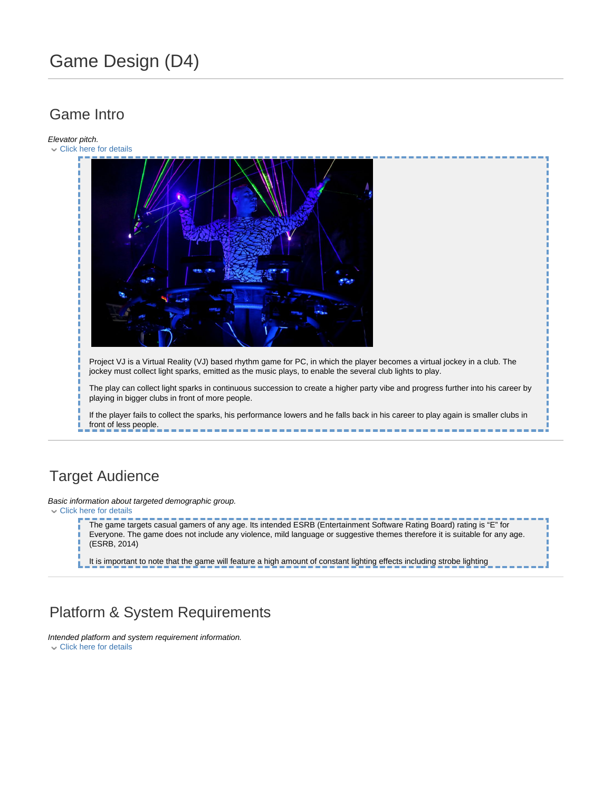# Game Design (D4)

# Game Intro

Elevator pitch.

Click here for details Project VJ is a Virtual Reality (VJ) based rhythm game for PC, in which the player becomes a virtual jockey in a club. The jockey must collect light sparks, emitted as the music plays, to enable the several club lights to play. The play can collect light sparks in continuous succession to create a higher party vibe and progress further into his career by playing in bigger clubs in front of more people. If the player fails to collect the sparks, his performance lowers and he falls back in his career to play again is smaller clubs in front of less people.

## Target Audience

Basic information about targeted demographic group. Click here for details

> The game targets casual gamers of any age. Its intended ESRB (Entertainment Software Rating Board) rating is "E" for Everyone. The game does not include any violence, mild language or suggestive themes therefore it is suitable for any age. (ESRB, 2014)

It is important to note that the game will feature a high amount of constant lighting effects including strobe lighting

# Platform & System Requirements

Intended platform and system requirement information. Click here for details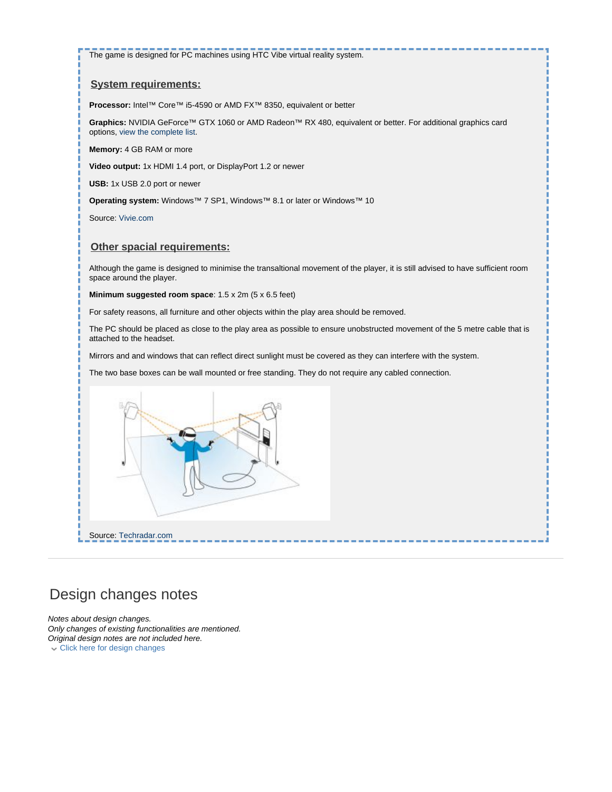The game is designed for PC machines using HTC Vibe virtual reality system.

#### **System requirements:**

**Processor:** Intel™ Core™ i5-4590 or AMD FX™ 8350, equivalent or better

**Graphics:** NVIDIA GeForce™ GTX 1060 or AMD Radeon™ RX 480, equivalent or better. For additional graphics card options, view the complete list.

**Memory:** 4 GB RAM or more

**Video output:** 1x HDMI 1.4 port, or DisplayPort 1.2 or newer

**USB:** 1x USB 2.0 port or newer

**Operating system:** Windows™ 7 SP1, Windows™ 8.1 or later or Windows™ 10

Source: [Vivie.com](https://www.vive.com/uk/ready/)

#### **Other spacial requirements:**

Although the game is designed to minimise the transaltional movement of the player, it is still advised to have sufficient room space around the player.

**Minimum suggested room space**: 1.5 x 2m (5 x 6.5 feet)

For safety reasons, all furniture and other objects within the play area should be removed.

The PC should be placed as close to the play area as possible to ensure unobstructed movement of the 5 metre cable that is attached to the headset.

Mirrors and and windows that can reflect direct sunlight must be covered as they can interfere with the system.

The two base boxes can be wall mounted or free standing. They do not require any cabled connection.



## Design changes notes

Notes about design changes. Only changes of existing functionalities are mentioned. Original design notes are not included here. Click here for design changes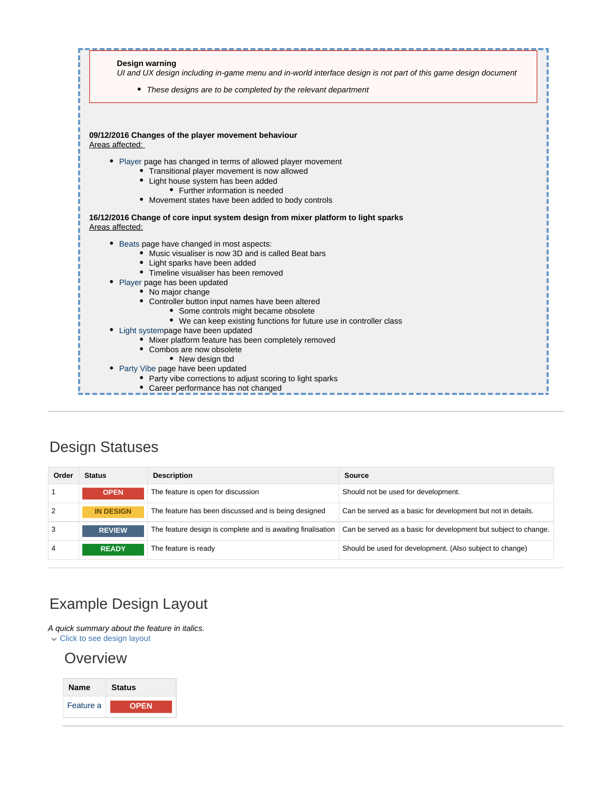

## Design Statuses

| Order | <b>Status</b>    | <b>Description</b>                                          | Source                                                          |
|-------|------------------|-------------------------------------------------------------|-----------------------------------------------------------------|
|       | <b>OPEN</b>      | The feature is open for discussion                          | Should not be used for development.                             |
| 2     | <b>IN DESIGN</b> | The feature has been discussed and is being designed        | Can be served as a basic for development but not in details.    |
| 3     | <b>REVIEW</b>    | The feature design is complete and is awaiting finalisation | Can be served as a basic for development but subject to change. |
| 4     | <b>READY</b>     | The feature is ready                                        | Should be used for development. (Also subject to change)        |

# Example Design Layout

A quick summary about the feature in italics. Click to see design layout

### **Overview**

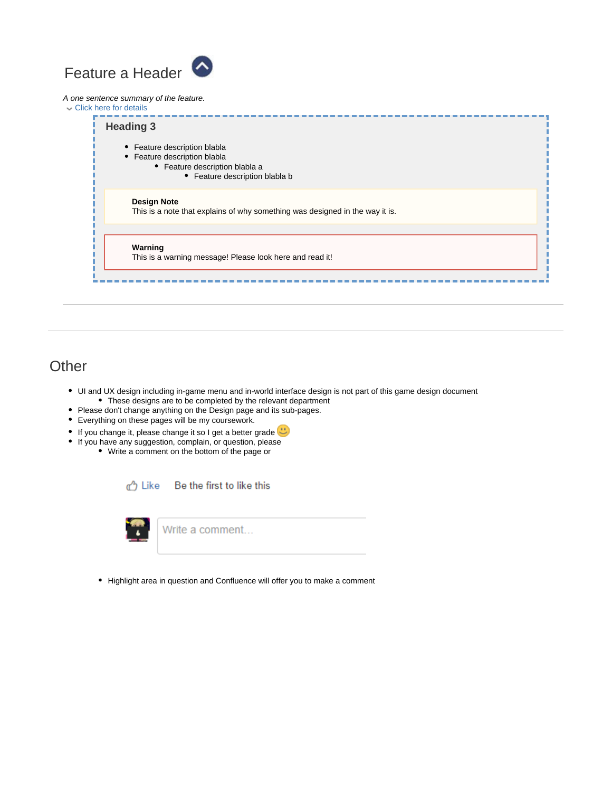# <span id="page-3-0"></span>Feature a Header

#### A one sentence summary of the feature.

Click here for details **Heading 3** • Feature description blabla • Feature description blabla Feature description blabla a • Feature description blabla b **Design Note** This is a note that explains of why something was designed in the way it is. **Warning** This is a warning message! Please look here and read it!

### **Other**

- UI and UX design including in-game menu and in-world interface design is not part of this game design document These designs are to be completed by the relevant department
- Please don't change anything on the Design page and its sub-pages.
- Everything on these pages will be my coursework.
- If you change it, please change it so I get a better grade
- If you have any suggestion, complain, or question, please
	- Write a comment on the bottom of the page or

<sub>α</sub><sup>λ</sup> Like Be the first to like this



• Highlight area in question and Confluence will offer you to make a comment